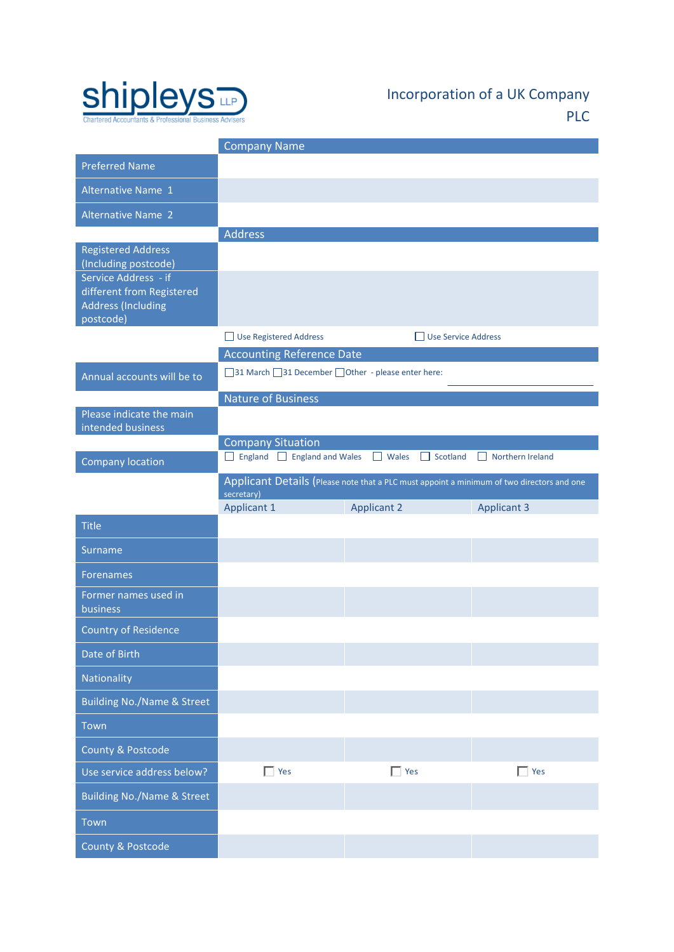

Incorporation of a UK Company PLC

|                                                                                             | <b>Company Name</b>                                                                                     |                                 |                    |  |
|---------------------------------------------------------------------------------------------|---------------------------------------------------------------------------------------------------------|---------------------------------|--------------------|--|
| <b>Preferred Name</b>                                                                       |                                                                                                         |                                 |                    |  |
| <b>Alternative Name 1</b>                                                                   |                                                                                                         |                                 |                    |  |
| <b>Alternative Name 2</b>                                                                   |                                                                                                         |                                 |                    |  |
|                                                                                             | <b>Address</b>                                                                                          |                                 |                    |  |
| <b>Registered Address</b><br>(Including postcode)                                           |                                                                                                         |                                 |                    |  |
| Service Address - if<br>different from Registered<br><b>Address (Including</b><br>postcode) |                                                                                                         |                                 |                    |  |
|                                                                                             | Use Registered Address                                                                                  | Use Service Address             |                    |  |
|                                                                                             | <b>Accounting Reference Date</b>                                                                        |                                 |                    |  |
| Annual accounts will be to                                                                  | □ 31 March □ 31 December □ Other - please enter here:                                                   |                                 |                    |  |
|                                                                                             | <b>Nature of Business</b>                                                                               |                                 |                    |  |
| Please indicate the main<br>intended business                                               |                                                                                                         |                                 |                    |  |
|                                                                                             | <b>Company Situation</b>                                                                                |                                 |                    |  |
| Company location                                                                            | England England and Wales                                                                               | $\Box$ Scotland<br>$\Box$ Wales | Northern Ireland   |  |
|                                                                                             | Applicant Details (Please note that a PLC must appoint a minimum of two directors and one<br>secretary) |                                 |                    |  |
|                                                                                             |                                                                                                         |                                 |                    |  |
|                                                                                             | <b>Applicant 1</b>                                                                                      | <b>Applicant 2</b>              | <b>Applicant 3</b> |  |
| <b>Title</b>                                                                                |                                                                                                         |                                 |                    |  |
| Surname                                                                                     |                                                                                                         |                                 |                    |  |
| <b>Forenames</b>                                                                            |                                                                                                         |                                 |                    |  |
| Former names used in<br>business                                                            |                                                                                                         |                                 |                    |  |
| <b>Country of Residence</b>                                                                 |                                                                                                         |                                 |                    |  |
| Date of Birth                                                                               |                                                                                                         |                                 |                    |  |
| Nationality                                                                                 |                                                                                                         |                                 |                    |  |
| <b>Building No./Name &amp; Street</b>                                                       |                                                                                                         |                                 |                    |  |
| Town                                                                                        |                                                                                                         |                                 |                    |  |
| County & Postcode                                                                           |                                                                                                         |                                 |                    |  |
| Use service address below?                                                                  | $\Gamma$ Yes                                                                                            | $\Box$ Yes                      | $\Box$ Yes         |  |
| <b>Building No./Name &amp; Street</b>                                                       |                                                                                                         |                                 |                    |  |
| Town                                                                                        |                                                                                                         |                                 |                    |  |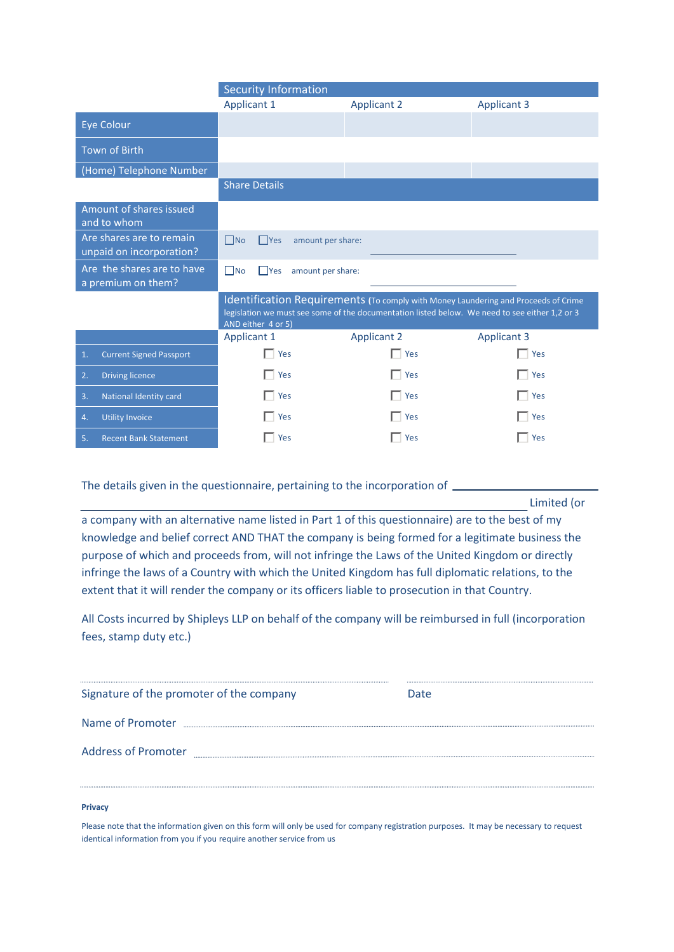|                                                      | <b>Security Information</b>                                                                                                                                                                                |                    |                    |  |
|------------------------------------------------------|------------------------------------------------------------------------------------------------------------------------------------------------------------------------------------------------------------|--------------------|--------------------|--|
|                                                      | <b>Applicant 1</b>                                                                                                                                                                                         | <b>Applicant 2</b> | <b>Applicant 3</b> |  |
| Eye Colour                                           |                                                                                                                                                                                                            |                    |                    |  |
| <b>Town of Birth</b>                                 |                                                                                                                                                                                                            |                    |                    |  |
| (Home) Telephone Number                              |                                                                                                                                                                                                            |                    |                    |  |
|                                                      | <b>Share Details</b>                                                                                                                                                                                       |                    |                    |  |
| Amount of shares issued<br>and to whom               |                                                                                                                                                                                                            |                    |                    |  |
| Are shares are to remain<br>unpaid on incorporation? | $\Box$ No<br>$\Box$ Yes<br>amount per share:                                                                                                                                                               |                    |                    |  |
| Are the shares are to have<br>a premium on them?     | $\Box$ No<br>$\Box$ Yes<br>amount per share:                                                                                                                                                               |                    |                    |  |
|                                                      | Identification Requirements (To comply with Money Laundering and Proceeds of Crime<br>legislation we must see some of the documentation listed below. We need to see either 1,2 or 3<br>AND either 4 or 5) |                    |                    |  |
|                                                      | <b>Applicant 1</b>                                                                                                                                                                                         | <b>Applicant 2</b> | <b>Applicant 3</b> |  |
| <b>Current Signed Passport</b><br>$\mathbf{1}$ .     | $\Box$ Yes                                                                                                                                                                                                 | Yes                | $\Box$ Yes         |  |
| <b>Driving licence</b><br>2.                         | $\Box$ Yes                                                                                                                                                                                                 | $\Box$ Yes         | $\Box$ Yes         |  |
| National Identity card<br>3.                         | $\Box$ Yes                                                                                                                                                                                                 | $\Box$ Yes         | $\Box$ Yes         |  |
| <b>Utility Invoice</b><br>4.                         | Yes                                                                                                                                                                                                        | Yes                | $\Box$ Yes         |  |
| <b>Recent Bank Statement</b><br>5.                   | Yes                                                                                                                                                                                                        | Yes                | Yes                |  |

The details given in the questionnaire, pertaining to the incorporation of \_\_\_\_\_

Limited (or

a company with an alternative name listed in Part 1 of this questionnaire) are to the best of my knowledge and belief correct AND THAT the company is being formed for a legitimate business the purpose of which and proceeds from, will not infringe the Laws of the United Kingdom or directly infringe the laws of a Country with which the United Kingdom has full diplomatic relations, to the extent that it will render the company or its officers liable to prosecution in that Country.

All Costs incurred by Shipleys LLP on behalf of the company will be reimbursed in full (incorporation fees, stamp duty etc.)

| Signature of the promoter of the company | Date |
|------------------------------------------|------|
| Name of Promoter                         |      |
| <b>Address of Promoter</b>               |      |
|                                          |      |

# **Privacy**

Please note that the information given on this form will only be used for company registration purposes. It may be necessary to request identical information from you if you require another service from us